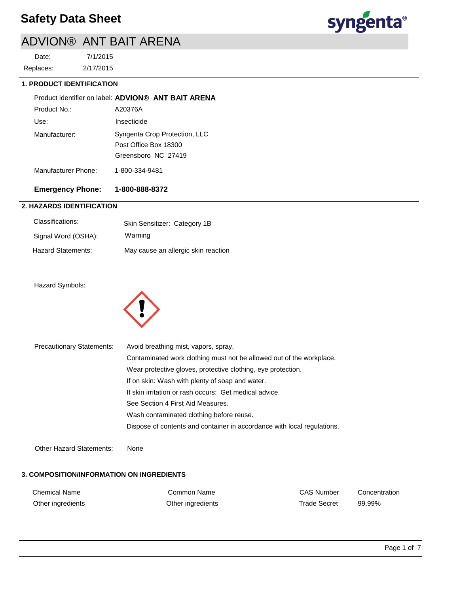

# ADVION® ANT BAIT ARENA

2/17/2015 7/1/2015 Replaces: Date:

### **1. PRODUCT IDENTIFICATION**

|                     | Product identifier on label: ADVION® ANT BAIT ARENA |
|---------------------|-----------------------------------------------------|
| Product No :        | A20376A                                             |
| Use:                | Insecticide                                         |
| Manufacturer:       | Syngenta Crop Protection, LLC                       |
|                     | Post Office Box 18300                               |
|                     | Greensboro NC 27419                                 |
| Manufacturer Phone: | 1-800-334-9481                                      |

## **Emergency Phone: 1-800-888-8372**

## **2. HAZARDS IDENTIFICATION**

| Classifications:    | Skin Sensitizer: Category 1B        |
|---------------------|-------------------------------------|
| Signal Word (OSHA): | Warning                             |
| Hazard Statements:  | May cause an allergic skin reaction |

### Hazard Symbols:



| <b>Precautionary Statements:</b> | Avoid breathing mist, vapors, spray.                                    |
|----------------------------------|-------------------------------------------------------------------------|
|                                  | Contaminated work clothing must not be allowed out of the workplace.    |
|                                  | Wear protective gloves, protective clothing, eye protection.            |
|                                  | If on skin: Wash with plenty of soap and water.                         |
|                                  | If skin irritation or rash occurs: Get medical advice.                  |
|                                  | See Section 4 First Aid Measures.                                       |
|                                  | Wash contaminated clothing before reuse.                                |
|                                  | Dispose of contents and container in accordance with local regulations. |
|                                  |                                                                         |
| <b>Other Hazard Statements:</b>  | None                                                                    |

## **3. COMPOSITION/INFORMATION ON INGREDIENTS**

| Chemical Name     | Common Name       | <b>CAS Number</b> | Concentration |
|-------------------|-------------------|-------------------|---------------|
| Other ingredients | Other ingredients | Trade Secret      | 99.99%        |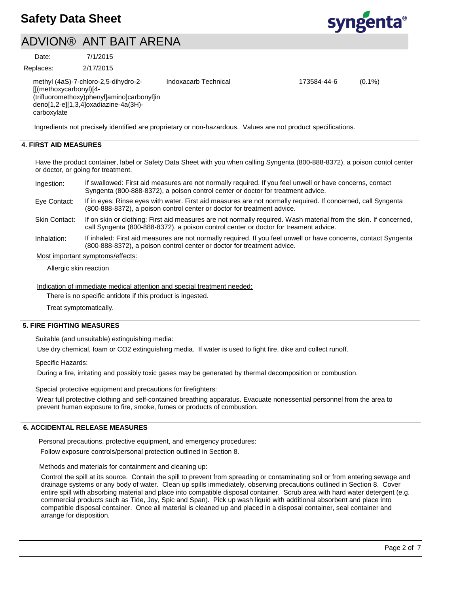

## ADVION® ANT BAIT ARENA

7/1/2015 Date:

2/17/2015 Replaces:

| methyl (4aS)-7-chloro-2,5-dihydro-2-<br>$[[(methoxycarbonyl)]4-$<br>(trifluoromethoxy)phenyl]amino]carbonyl]in<br>deno[1,2-e][1,3,4]oxadiazine-4a(3H)-<br>carboxylate | Indoxacarb Technical | 173584-44-6 | $(0.1\%)$ |
|-----------------------------------------------------------------------------------------------------------------------------------------------------------------------|----------------------|-------------|-----------|
| Ingredients not precisely identified are proprietary or non-hazardous. Values are not product specifications.                                                         |                      |             |           |

## **4. FIRST AID MEASURES**

Have the product container, label or Safety Data Sheet with you when calling Syngenta (800-888-8372), a poison contol center or doctor, or going for treatment.

| Ingestion:   | If swallowed: First aid measures are not normally required. If you feel unwell or have concerns, contact<br>Syngenta (800-888-8372), a poison control center or doctor for treatment advice. |
|--------------|----------------------------------------------------------------------------------------------------------------------------------------------------------------------------------------------|
| Eve Contact: | If in eyes: Rinse eyes with water. First aid measures are not normally required. If concerned, call Syngenta<br>(800-888-8372), a poison control center or doctor for treatment advice.      |

If on skin or clothing: First aid measures are not normally required. Wash material from the skin. If concerned, call Syngenta (800-888-8372), a poison control center or doctor for treament advice. Skin Contact:

If inhaled: First aid measures are not normally required. If you feel unwell or have concerns, contact Syngenta (800-888-8372), a poison control center or doctor for treatment advice. Inhalation:

#### Most important symptoms/effects:

Allergic skin reaction

Indication of immediate medical attention and special treatment needed:

There is no specific antidote if this product is ingested.

Treat symptomatically.

### **5. FIRE FIGHTING MEASURES**

Suitable (and unsuitable) extinguishing media:

Use dry chemical, foam or CO2 extinguishing media. If water is used to fight fire, dike and collect runoff.

Specific Hazards:

During a fire, irritating and possibly toxic gases may be generated by thermal decomposition or combustion.

Special protective equipment and precautions for firefighters:

Wear full protective clothing and self-contained breathing apparatus. Evacuate nonessential personnel from the area to prevent human exposure to fire, smoke, fumes or products of combustion.

## **6. ACCIDENTAL RELEASE MEASURES**

Personal precautions, protective equipment, and emergency procedures:

Follow exposure controls/personal protection outlined in Section 8.

Methods and materials for containment and cleaning up:

Control the spill at its source. Contain the spill to prevent from spreading or contaminating soil or from entering sewage and drainage systems or any body of water. Clean up spills immediately, observing precautions outlined in Section 8. Cover entire spill with absorbing material and place into compatible disposal container. Scrub area with hard water detergent (e.g. commercial products such as Tide, Joy, Spic and Span). Pick up wash liquid with additional absorbent and place into compatible disposal container. Once all material is cleaned up and placed in a disposal container, seal container and arrange for disposition.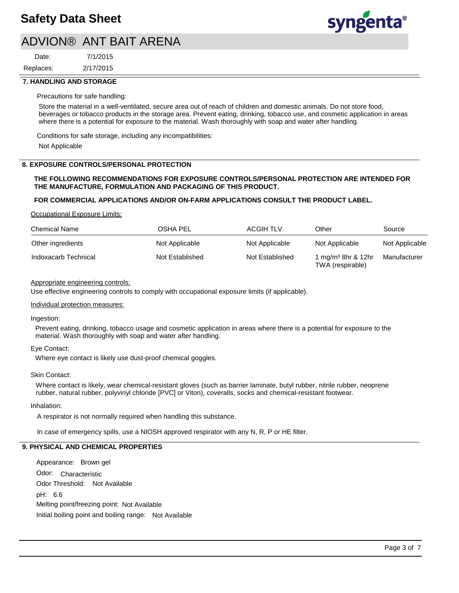

## ADVION® ANT BAIT ARENA

2/17/2015 7/1/2015 Replaces: Date:

#### **7. HANDLING AND STORAGE**

#### Precautions for safe handling:

Store the material in a well-ventilated, secure area out of reach of children and domestic animals. Do not store food, beverages or tobacco products in the storage area. Prevent eating, drinking, tobacco use, and cosmetic application in areas where there is a potential for exposure to the material. Wash thoroughly with soap and water after handling.

Conditions for safe storage, including any incompatibilities:

Not Applicable

#### **8. EXPOSURE CONTROLS/PERSONAL PROTECTION**

#### **THE FOLLOWING RECOMMENDATIONS FOR EXPOSURE CONTROLS/PERSONAL PROTECTION ARE INTENDED FOR THE MANUFACTURE, FORMULATION AND PACKAGING OF THIS PRODUCT.**

#### **FOR COMMERCIAL APPLICATIONS AND/OR ON-FARM APPLICATIONS CONSULT THE PRODUCT LABEL.**

Occupational Exposure Limits:

| <b>Chemical Name</b> | <b>OSHA PEL</b> | <b>ACGIH TLV</b> | Other                                              | Source         |
|----------------------|-----------------|------------------|----------------------------------------------------|----------------|
| Other ingredients    | Not Applicable  | Not Applicable   | Not Applicable                                     | Not Applicable |
| Indoxacarb Technical | Not Established | Not Established  | 1 mg/m <sup>3</sup> 8hr & 12hr<br>TWA (respirable) | Manufacturer   |

### Appropriate engineering controls:

Use effective engineering controls to comply with occupational exposure limits (if applicable).

#### Individual protection measures:

Ingestion:

Prevent eating, drinking, tobacco usage and cosmetic application in areas where there is a potential for exposure to the material. Wash thoroughly with soap and water after handling.

### Eye Contact:

Where eye contact is likely use dust-proof chemical goggles.

#### Skin Contact:

Where contact is likely, wear chemical-resistant gloves (such as barrier laminate, butyl rubber, nitrile rubber, neoprene rubber, natural rubber, polyvinyl chloride [PVC] or Viton), coveralls, socks and chemical-resistant footwear.

#### Inhalation:

A respirator is not normally required when handling this substance.

In case of emergency spills, use a NIOSH approved respirator with any N, R, P or HE filter.

## **9. PHYSICAL AND CHEMICAL PROPERTIES**

Odor: Characteristic Appearance: Brown gel pH: 6.6 Initial boiling point and boiling range: Not Available Melting point/freezing point: Not Available Odor Threshold: Not Available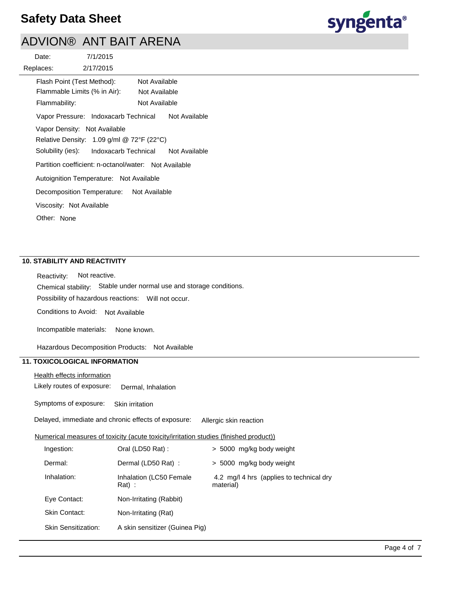

# ADVION® ANT BAIT ARENA

| 7/1/2015<br>Date:                                                      |
|------------------------------------------------------------------------|
| 2/17/2015<br>Replaces:                                                 |
| Flash Point (Test Method):<br>Not Available                            |
| Flammable Limits (% in Air):<br>Not Available                          |
| Not Available<br>Flammability:                                         |
| Vapor Pressure: Indoxacarb Technical<br>Not Available                  |
| Vapor Density: Not Available                                           |
| Relative Density: 1.09 g/ml @ 72°F (22°C)                              |
| Solubility (ies):<br>Indoxacarb Technical<br>Not Available             |
| Partition coefficient: n-octanol/water: Not Available                  |
| Autoignition Temperature: Not Available                                |
| Decomposition Temperature:<br>Not Available                            |
| Viscosity: Not Available                                               |
| Other: None                                                            |
|                                                                        |
|                                                                        |
|                                                                        |
| <b>10. STABILITY AND REACTIVITY</b>                                    |
| Not reactive.<br>Reactivity:                                           |
| Stable under normal use and storage conditions.<br>Chemical stability: |
| Possibility of hazardous reactions: Will not occur.                    |
| Conditions to Avoid: Not Available                                     |
| Incompatible materials:<br>None known.                                 |
| Hazardous Decomposition Products: Not Available                        |
| <b>11. TOXICOLOGICAL INFORMATION</b>                                   |
| <b>Health effects information</b>                                      |
| Likely routes of exposure:<br>Dermal. Inhalation                       |

Symptoms of exposure: Skin irritation

Delayed, immediate and chronic effects of exposure: Allergic skin reaction

### Numerical measures of toxicity (acute toxicity/irritation studies (finished product))

| Ingestion:                 | Oral (LD50 Rat):                   | > 5000 mg/kg body weight                              |
|----------------------------|------------------------------------|-------------------------------------------------------|
| Dermal:                    | Dermal (LD50 Rat):                 | > 5000 mg/kg body weight                              |
| Inhalation:                | Inhalation (LC50 Female<br>$Rat$ : | 4.2 mg/l 4 hrs (applies to technical dry<br>material) |
| Eye Contact:               | Non-Irritating (Rabbit)            |                                                       |
| Skin Contact:              | Non-Irritating (Rat)               |                                                       |
| <b>Skin Sensitization:</b> | A skin sensitizer (Guinea Pig)     |                                                       |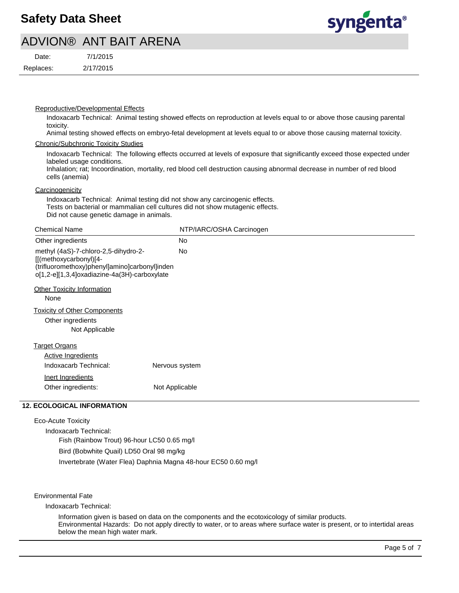

## ADVION® ANT BAIT ARENA

| Date:     | 7/1/2015  |
|-----------|-----------|
| Replaces: | 2/17/2015 |

#### Reproductive/Developmental Effects

Indoxacarb Technical: Animal testing showed effects on reproduction at levels equal to or above those causing parental toxicity.

Animal testing showed effects on embryo-fetal development at levels equal to or above those causing maternal toxicity.

#### Chronic/Subchronic Toxicity Studies

Indoxacarb Technical: The following effects occurred at levels of exposure that significantly exceed those expected under labeled usage conditions.

Inhalation; rat; Incoordination, mortality, red blood cell destruction causing abnormal decrease in number of red blood cells (anemia)

### **Carcinogenicity**

Indoxacarb Technical: Animal testing did not show any carcinogenic effects. Tests on bacterial or mammalian cell cultures did not show mutagenic effects. Did not cause genetic damage in animals.

| <b>Chemical Name</b>                                                                                                                                            | NTP/IARC/OSHA Carcinogen |
|-----------------------------------------------------------------------------------------------------------------------------------------------------------------|--------------------------|
| Other ingredients                                                                                                                                               | <b>No</b>                |
| methyl (4aS)-7-chloro-2,5-dihydro-2-<br>[[(methoxycarbonyl)[4-<br>(trifluoromethoxy)phenyl]amino]carbonyl]inden<br>o[1,2-e][1,3,4]oxadiazine-4a(3H)-carboxylate | <b>No</b>                |
| Other Toxicity Information<br>None                                                                                                                              |                          |
| <b>Toxicity of Other Components</b><br>Other ingredients<br>Not Applicable                                                                                      |                          |
| <b>Target Organs</b>                                                                                                                                            |                          |
| <b>Active Ingredients</b>                                                                                                                                       |                          |
| Indoxacarb Technical:                                                                                                                                           | Nervous system           |
| Inert Ingredients                                                                                                                                               |                          |
| Other ingredients:                                                                                                                                              | Not Applicable           |
|                                                                                                                                                                 |                          |

## **12. ECOLOGICAL INFORMATION**

Eco-Acute Toxicity

Indoxacarb Technical: Fish (Rainbow Trout) 96-hour LC50 0.65 mg/l Bird (Bobwhite Quail) LD50 Oral 98 mg/kg Invertebrate (Water Flea) Daphnia Magna 48-hour EC50 0.60 mg/l

Environmental Fate

Indoxacarb Technical:

Information given is based on data on the components and the ecotoxicology of similar products. Environmental Hazards: Do not apply directly to water, or to areas where surface water is present, or to intertidal areas below the mean high water mark.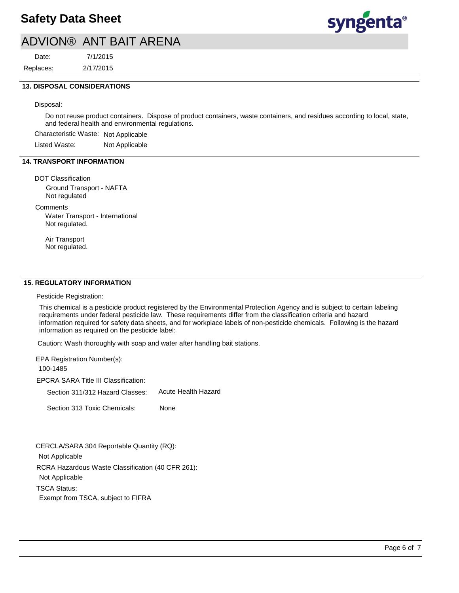

## ADVION® ANT BAIT ARENA

7/1/2015 Replaces: Date:

2/17/2015

### **13. DISPOSAL CONSIDERATIONS**

Disposal:

Do not reuse product containers. Dispose of product containers, waste containers, and residues according to local, state, and federal health and environmental regulations.

Characteristic Waste: Not Applicable

Listed Waste: Not Applicable

## **14. TRANSPORT INFORMATION**

DOT Classification

Ground Transport - NAFTA Not regulated

**Comments** 

Water Transport - International Not regulated.

Air Transport Not regulated.

### **15. REGULATORY INFORMATION**

Pesticide Registration:

This chemical is a pesticide product registered by the Environmental Protection Agency and is subject to certain labeling requirements under federal pesticide law. These requirements differ from the classification criteria and hazard information required for safety data sheets, and for workplace labels of non-pesticide chemicals. Following is the hazard information as required on the pesticide label:

Caution: Wash thoroughly with soap and water after handling bait stations.

EPA Registration Number(s): 100-1485

EPCRA SARA Title III Classification:

Section 311/312 Hazard Classes: Acute Health Hazard

Section 313 Toxic Chemicals: None

RCRA Hazardous Waste Classification (40 CFR 261): Not Applicable TSCA Status: Exempt from TSCA, subject to FIFRA CERCLA/SARA 304 Reportable Quantity (RQ): Not Applicable